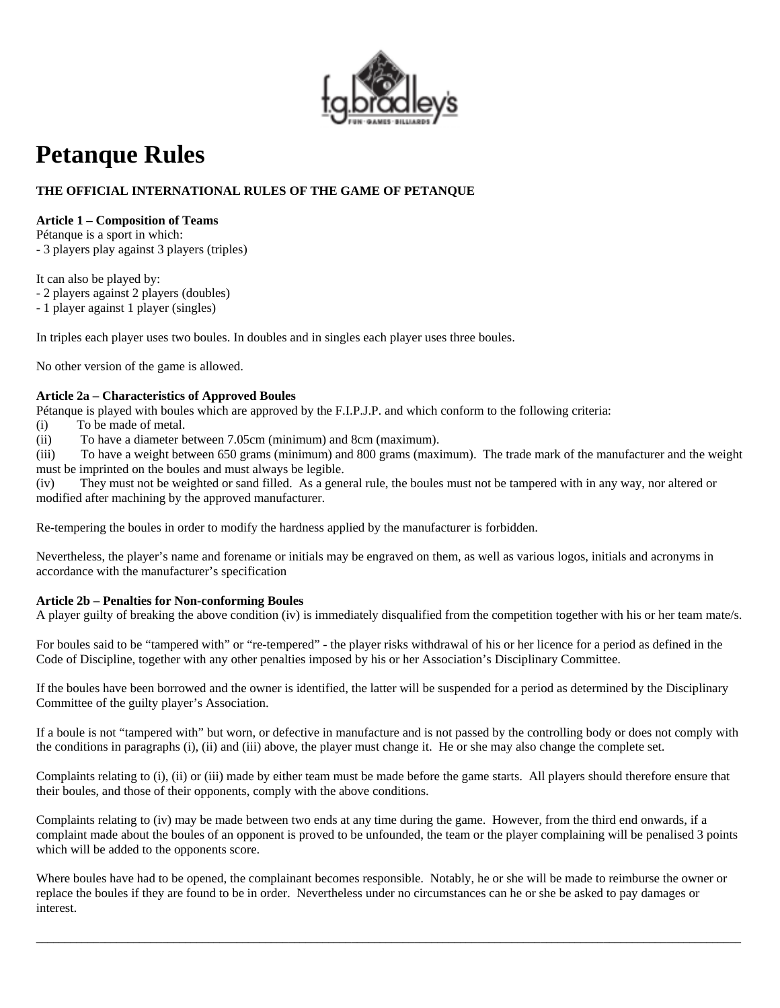

# **Petanque Rules**

# **THE OFFICIAL INTERNATIONAL RULES OF THE GAME OF PETANQUE**

# **Article 1 – Composition of Teams**

Pétanque is a sport in which:

- 3 players play against 3 players (triples)

It can also be played by:

- 2 players against 2 players (doubles)

- 1 player against 1 player (singles)

In triples each player uses two boules. In doubles and in singles each player uses three boules.

No other version of the game is allowed.

# **Article 2a – Characteristics of Approved Boules**

Pétanque is played with boules which are approved by the F.I.P.J.P. and which conform to the following criteria:

(i) To be made of metal.

(ii) To have a diameter between 7.05cm (minimum) and 8cm (maximum).

(iii) To have a weight between 650 grams (minimum) and 800 grams (maximum). The trade mark of the manufacturer and the weight must be imprinted on the boules and must always be legible.

(iv) They must not be weighted or sand filled. As a general rule, the boules must not be tampered with in any way, nor altered or modified after machining by the approved manufacturer.

Re-tempering the boules in order to modify the hardness applied by the manufacturer is forbidden.

Nevertheless, the player's name and forename or initials may be engraved on them, as well as various logos, initials and acronyms in accordance with the manufacturer's specification

# **Article 2b – Penalties for Non-conforming Boules**

A player guilty of breaking the above condition (iv) is immediately disqualified from the competition together with his or her team mate/s.

For boules said to be "tampered with" or "re-tempered" - the player risks withdrawal of his or her licence for a period as defined in the Code of Discipline, together with any other penalties imposed by his or her Association's Disciplinary Committee.

If the boules have been borrowed and the owner is identified, the latter will be suspended for a period as determined by the Disciplinary Committee of the guilty player's Association.

If a boule is not "tampered with" but worn, or defective in manufacture and is not passed by the controlling body or does not comply with the conditions in paragraphs (i), (ii) and (iii) above, the player must change it. He or she may also change the complete set.

Complaints relating to (i), (ii) or (iii) made by either team must be made before the game starts. All players should therefore ensure that their boules, and those of their opponents, comply with the above conditions.

Complaints relating to (iv) may be made between two ends at any time during the game. However, from the third end onwards, if a complaint made about the boules of an opponent is proved to be unfounded, the team or the player complaining will be penalised 3 points which will be added to the opponents score.

Where boules have had to be opened, the complainant becomes responsible. Notably, he or she will be made to reimburse the owner or replace the boules if they are found to be in order. Nevertheless under no circumstances can he or she be asked to pay damages or interest.

\_\_\_\_\_\_\_\_\_\_\_\_\_\_\_\_\_\_\_\_\_\_\_\_\_\_\_\_\_\_\_\_\_\_\_\_\_\_\_\_\_\_\_\_\_\_\_\_\_\_\_\_\_\_\_\_\_\_\_\_\_\_\_\_\_\_\_\_\_\_\_\_\_\_\_\_\_\_\_\_\_\_\_\_\_\_\_\_\_\_\_\_\_\_\_\_\_\_\_\_\_\_\_\_\_\_\_\_\_\_\_\_\_\_\_\_\_\_\_\_\_\_\_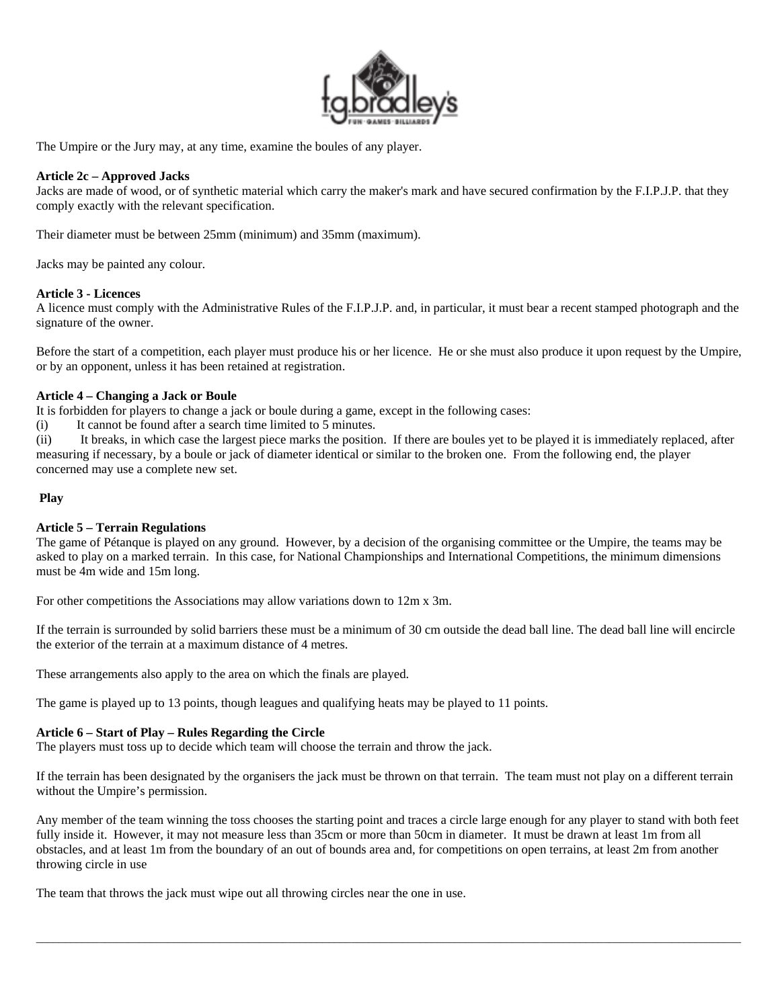

The Umpire or the Jury may, at any time, examine the boules of any player.

## **Article 2c – Approved Jacks**

Jacks are made of wood, or of synthetic material which carry the maker's mark and have secured confirmation by the F.I.P.J.P. that they comply exactly with the relevant specification.

Their diameter must be between 25mm (minimum) and 35mm (maximum).

Jacks may be painted any colour.

#### **Article 3 - Licences**

A licence must comply with the Administrative Rules of the F.I.P.J.P. and, in particular, it must bear a recent stamped photograph and the signature of the owner.

Before the start of a competition, each player must produce his or her licence. He or she must also produce it upon request by the Umpire, or by an opponent, unless it has been retained at registration.

#### **Article 4 – Changing a Jack or Boule**

It is forbidden for players to change a jack or boule during a game, except in the following cases:

(i) It cannot be found after a search time limited to 5 minutes.

(ii) It breaks, in which case the largest piece marks the position. If there are boules yet to be played it is immediately replaced, after measuring if necessary, by a boule or jack of diameter identical or similar to the broken one. From the following end, the player concerned may use a complete new set.

### **Play**

## **Article 5 – Terrain Regulations**

The game of Pétanque is played on any ground. However, by a decision of the organising committee or the Umpire, the teams may be asked to play on a marked terrain. In this case, for National Championships and International Competitions, the minimum dimensions must be 4m wide and 15m long.

For other competitions the Associations may allow variations down to 12m x 3m.

If the terrain is surrounded by solid barriers these must be a minimum of 30 cm outside the dead ball line. The dead ball line will encircle the exterior of the terrain at a maximum distance of 4 metres.

These arrangements also apply to the area on which the finals are played.

The game is played up to 13 points, though leagues and qualifying heats may be played to 11 points.

## **Article 6 – Start of Play – Rules Regarding the Circle**

The players must toss up to decide which team will choose the terrain and throw the jack.

If the terrain has been designated by the organisers the jack must be thrown on that terrain. The team must not play on a different terrain without the Umpire's permission.

Any member of the team winning the toss chooses the starting point and traces a circle large enough for any player to stand with both feet fully inside it. However, it may not measure less than 35cm or more than 50cm in diameter. It must be drawn at least 1m from all obstacles, and at least 1m from the boundary of an out of bounds area and, for competitions on open terrains, at least 2m from another throwing circle in use

\_\_\_\_\_\_\_\_\_\_\_\_\_\_\_\_\_\_\_\_\_\_\_\_\_\_\_\_\_\_\_\_\_\_\_\_\_\_\_\_\_\_\_\_\_\_\_\_\_\_\_\_\_\_\_\_\_\_\_\_\_\_\_\_\_\_\_\_\_\_\_\_\_\_\_\_\_\_\_\_\_\_\_\_\_\_\_\_\_\_\_\_\_\_\_\_\_\_\_\_\_\_\_\_\_\_\_\_\_\_\_\_\_\_\_\_\_\_\_\_\_\_\_

The team that throws the jack must wipe out all throwing circles near the one in use.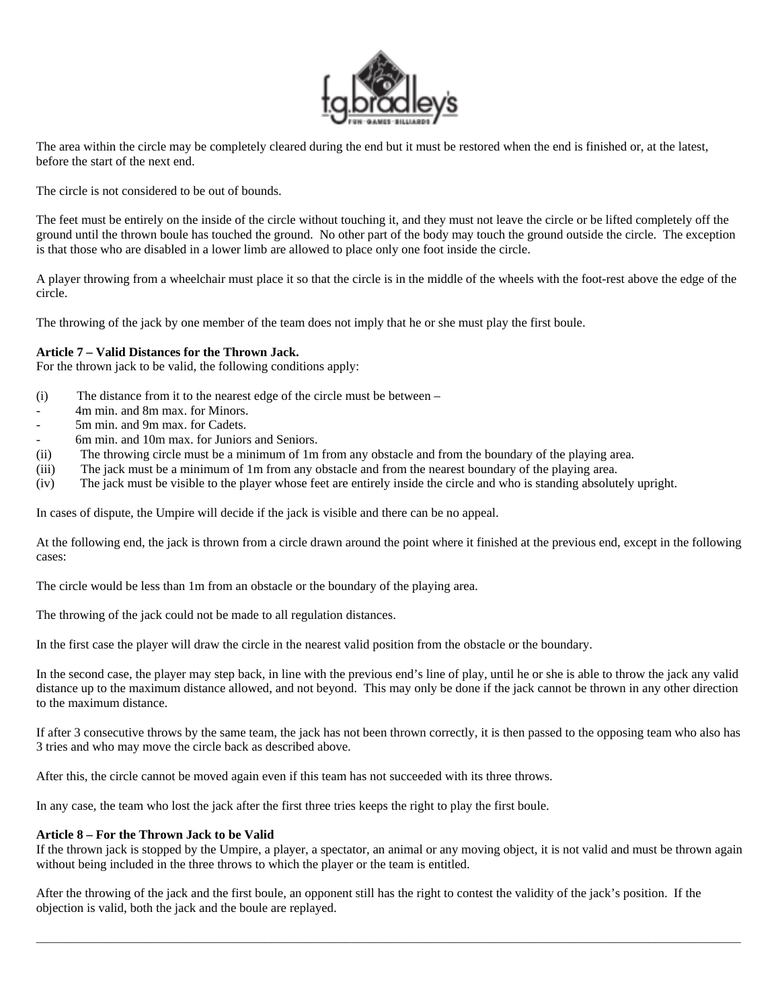

The area within the circle may be completely cleared during the end but it must be restored when the end is finished or, at the latest, before the start of the next end.

The circle is not considered to be out of bounds.

The feet must be entirely on the inside of the circle without touching it, and they must not leave the circle or be lifted completely off the ground until the thrown boule has touched the ground. No other part of the body may touch the ground outside the circle. The exception is that those who are disabled in a lower limb are allowed to place only one foot inside the circle.

A player throwing from a wheelchair must place it so that the circle is in the middle of the wheels with the foot-rest above the edge of the circle.

The throwing of the jack by one member of the team does not imply that he or she must play the first boule.

#### **Article 7 – Valid Distances for the Thrown Jack.**

For the thrown jack to be valid, the following conditions apply:

- (i) The distance from it to the nearest edge of the circle must be between –
- 4m min. and 8m max. for Minors.
- 5m min. and 9m max. for Cadets.
- 6m min. and 10m max. for Juniors and Seniors.
- (ii) The throwing circle must be a minimum of 1m from any obstacle and from the boundary of the playing area.
- (iii) The jack must be a minimum of 1m from any obstacle and from the nearest boundary of the playing area.
- (iv) The jack must be visible to the player whose feet are entirely inside the circle and who is standing absolutely upright.

In cases of dispute, the Umpire will decide if the jack is visible and there can be no appeal.

At the following end, the jack is thrown from a circle drawn around the point where it finished at the previous end, except in the following cases:

The circle would be less than 1m from an obstacle or the boundary of the playing area.

The throwing of the jack could not be made to all regulation distances.

In the first case the player will draw the circle in the nearest valid position from the obstacle or the boundary.

In the second case, the player may step back, in line with the previous end's line of play, until he or she is able to throw the jack any valid distance up to the maximum distance allowed, and not beyond. This may only be done if the jack cannot be thrown in any other direction to the maximum distance.

If after 3 consecutive throws by the same team, the jack has not been thrown correctly, it is then passed to the opposing team who also has 3 tries and who may move the circle back as described above.

After this, the circle cannot be moved again even if this team has not succeeded with its three throws.

In any case, the team who lost the jack after the first three tries keeps the right to play the first boule.

#### **Article 8 – For the Thrown Jack to be Valid**

If the thrown jack is stopped by the Umpire, a player, a spectator, an animal or any moving object, it is not valid and must be thrown again without being included in the three throws to which the player or the team is entitled.

\_\_\_\_\_\_\_\_\_\_\_\_\_\_\_\_\_\_\_\_\_\_\_\_\_\_\_\_\_\_\_\_\_\_\_\_\_\_\_\_\_\_\_\_\_\_\_\_\_\_\_\_\_\_\_\_\_\_\_\_\_\_\_\_\_\_\_\_\_\_\_\_\_\_\_\_\_\_\_\_\_\_\_\_\_\_\_\_\_\_\_\_\_\_\_\_\_\_\_\_\_\_\_\_\_\_\_\_\_\_\_\_\_\_\_\_\_\_\_\_\_\_\_

After the throwing of the jack and the first boule, an opponent still has the right to contest the validity of the jack's position. If the objection is valid, both the jack and the boule are replayed.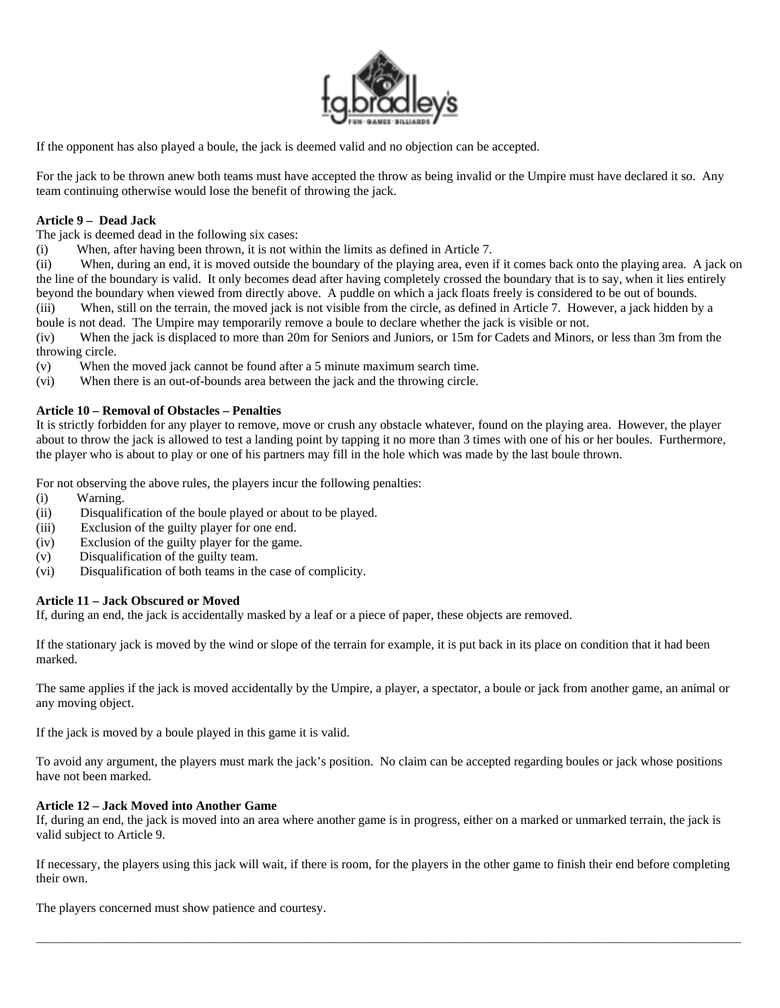

If the opponent has also played a boule, the jack is deemed valid and no objection can be accepted.

For the jack to be thrown anew both teams must have accepted the throw as being invalid or the Umpire must have declared it so. Any team continuing otherwise would lose the benefit of throwing the jack.

## **Article 9 – Dead Jack**

The jack is deemed dead in the following six cases:

(i) When, after having been thrown, it is not within the limits as defined in Article 7.

(ii) When, during an end, it is moved outside the boundary of the playing area, even if it comes back onto the playing area. A jack on the line of the boundary is valid. It only becomes dead after having completely crossed the boundary that is to say, when it lies entirely beyond the boundary when viewed from directly above. A puddle on which a jack floats freely is considered to be out of bounds.

(iii) When, still on the terrain, the moved jack is not visible from the circle, as defined in Article 7. However, a jack hidden by a boule is not dead. The Umpire may temporarily remove a boule to declare whether the jack is visible or not.

(iv) When the jack is displaced to more than 20m for Seniors and Juniors, or 15m for Cadets and Minors, or less than 3m from the throwing circle.

(v) When the moved jack cannot be found after a 5 minute maximum search time.

(vi) When there is an out-of-bounds area between the jack and the throwing circle.

## **Article 10 – Removal of Obstacles – Penalties**

It is strictly forbidden for any player to remove, move or crush any obstacle whatever, found on the playing area. However, the player about to throw the jack is allowed to test a landing point by tapping it no more than 3 times with one of his or her boules. Furthermore, the player who is about to play or one of his partners may fill in the hole which was made by the last boule thrown.

For not observing the above rules, the players incur the following penalties:

- (i) Warning.
- (ii) Disqualification of the boule played or about to be played.
- (iii) Exclusion of the guilty player for one end.
- (iv) Exclusion of the guilty player for the game.
- (v) Disqualification of the guilty team.
- (vi) Disqualification of both teams in the case of complicity.

## **Article 11 – Jack Obscured or Moved**

If, during an end, the jack is accidentally masked by a leaf or a piece of paper, these objects are removed.

If the stationary jack is moved by the wind or slope of the terrain for example, it is put back in its place on condition that it had been marked.

The same applies if the jack is moved accidentally by the Umpire, a player, a spectator, a boule or jack from another game, an animal or any moving object.

If the jack is moved by a boule played in this game it is valid.

To avoid any argument, the players must mark the jack's position. No claim can be accepted regarding boules or jack whose positions have not been marked.

## **Article 12 – Jack Moved into Another Game**

If, during an end, the jack is moved into an area where another game is in progress, either on a marked or unmarked terrain, the jack is valid subject to Article 9.

If necessary, the players using this jack will wait, if there is room, for the players in the other game to finish their end before completing their own.

\_\_\_\_\_\_\_\_\_\_\_\_\_\_\_\_\_\_\_\_\_\_\_\_\_\_\_\_\_\_\_\_\_\_\_\_\_\_\_\_\_\_\_\_\_\_\_\_\_\_\_\_\_\_\_\_\_\_\_\_\_\_\_\_\_\_\_\_\_\_\_\_\_\_\_\_\_\_\_\_\_\_\_\_\_\_\_\_\_\_\_\_\_\_\_\_\_\_\_\_\_\_\_\_\_\_\_\_\_\_\_\_\_\_\_\_\_\_\_\_\_\_\_

The players concerned must show patience and courtesy.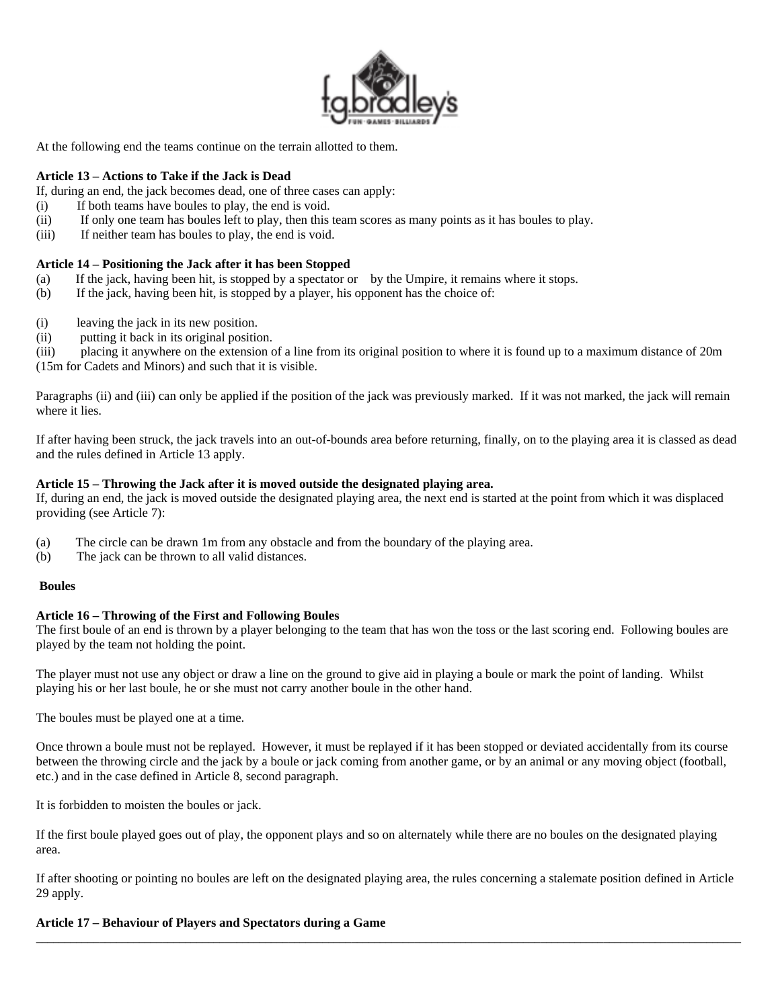

At the following end the teams continue on the terrain allotted to them.

## **Article 13 – Actions to Take if the Jack is Dead**

If, during an end, the jack becomes dead, one of three cases can apply:

- (i) If both teams have boules to play, the end is void.
- (ii) If only one team has boules left to play, then this team scores as many points as it has boules to play.
- (iii) If neither team has boules to play, the end is void.

## **Article 14 – Positioning the Jack after it has been Stopped**

- (a) If the jack, having been hit, is stopped by a spectator or by the Umpire, it remains where it stops.
- (b) If the jack, having been hit, is stopped by a player, his opponent has the choice of:
- (i) leaving the jack in its new position.
- (ii) putting it back in its original position.

(iii) placing it anywhere on the extension of a line from its original position to where it is found up to a maximum distance of 20m (15m for Cadets and Minors) and such that it is visible.

Paragraphs (ii) and (iii) can only be applied if the position of the jack was previously marked. If it was not marked, the jack will remain where it lies.

If after having been struck, the jack travels into an out-of-bounds area before returning, finally, on to the playing area it is classed as dead and the rules defined in Article 13 apply.

#### **Article 15 – Throwing the Jack after it is moved outside the designated playing area.**

If, during an end, the jack is moved outside the designated playing area, the next end is started at the point from which it was displaced providing (see Article 7):

- (a) The circle can be drawn 1m from any obstacle and from the boundary of the playing area.
- (b) The jack can be thrown to all valid distances.

#### **Boules**

## **Article 16 – Throwing of the First and Following Boules**

The first boule of an end is thrown by a player belonging to the team that has won the toss or the last scoring end. Following boules are played by the team not holding the point.

The player must not use any object or draw a line on the ground to give aid in playing a boule or mark the point of landing. Whilst playing his or her last boule, he or she must not carry another boule in the other hand.

The boules must be played one at a time.

Once thrown a boule must not be replayed. However, it must be replayed if it has been stopped or deviated accidentally from its course between the throwing circle and the jack by a boule or jack coming from another game, or by an animal or any moving object (football, etc.) and in the case defined in Article 8, second paragraph.

It is forbidden to moisten the boules or jack.

If the first boule played goes out of play, the opponent plays and so on alternately while there are no boules on the designated playing area.

If after shooting or pointing no boules are left on the designated playing area, the rules concerning a stalemate position defined in Article 29 apply.

\_\_\_\_\_\_\_\_\_\_\_\_\_\_\_\_\_\_\_\_\_\_\_\_\_\_\_\_\_\_\_\_\_\_\_\_\_\_\_\_\_\_\_\_\_\_\_\_\_\_\_\_\_\_\_\_\_\_\_\_\_\_\_\_\_\_\_\_\_\_\_\_\_\_\_\_\_\_\_\_\_\_\_\_\_\_\_\_\_\_\_\_\_\_\_\_\_\_\_\_\_\_\_\_\_\_\_\_\_\_\_\_\_\_\_\_\_\_\_\_\_\_\_

#### **Article 17 – Behaviour of Players and Spectators during a Game**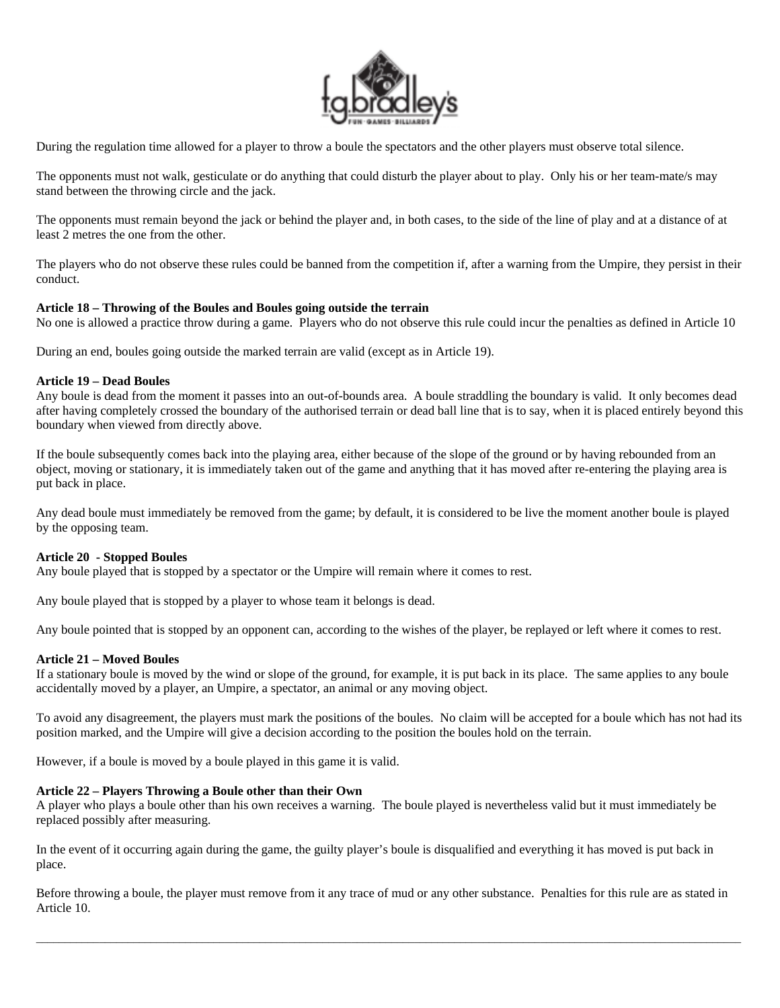

During the regulation time allowed for a player to throw a boule the spectators and the other players must observe total silence.

The opponents must not walk, gesticulate or do anything that could disturb the player about to play. Only his or her team-mate/s may stand between the throwing circle and the jack.

The opponents must remain beyond the jack or behind the player and, in both cases, to the side of the line of play and at a distance of at least 2 metres the one from the other.

The players who do not observe these rules could be banned from the competition if, after a warning from the Umpire, they persist in their conduct.

## **Article 18 – Throwing of the Boules and Boules going outside the terrain**

No one is allowed a practice throw during a game. Players who do not observe this rule could incur the penalties as defined in Article 10

During an end, boules going outside the marked terrain are valid (except as in Article 19).

#### **Article 19 – Dead Boules**

Any boule is dead from the moment it passes into an out-of-bounds area. A boule straddling the boundary is valid. It only becomes dead after having completely crossed the boundary of the authorised terrain or dead ball line that is to say, when it is placed entirely beyond this boundary when viewed from directly above.

If the boule subsequently comes back into the playing area, either because of the slope of the ground or by having rebounded from an object, moving or stationary, it is immediately taken out of the game and anything that it has moved after re-entering the playing area is put back in place.

Any dead boule must immediately be removed from the game; by default, it is considered to be live the moment another boule is played by the opposing team.

## **Article 20 - Stopped Boules**

Any boule played that is stopped by a spectator or the Umpire will remain where it comes to rest.

Any boule played that is stopped by a player to whose team it belongs is dead.

Any boule pointed that is stopped by an opponent can, according to the wishes of the player, be replayed or left where it comes to rest.

## **Article 21 – Moved Boules**

If a stationary boule is moved by the wind or slope of the ground, for example, it is put back in its place. The same applies to any boule accidentally moved by a player, an Umpire, a spectator, an animal or any moving object.

To avoid any disagreement, the players must mark the positions of the boules. No claim will be accepted for a boule which has not had its position marked, and the Umpire will give a decision according to the position the boules hold on the terrain.

However, if a boule is moved by a boule played in this game it is valid.

## **Article 22 – Players Throwing a Boule other than their Own**

A player who plays a boule other than his own receives a warning. The boule played is nevertheless valid but it must immediately be replaced possibly after measuring.

In the event of it occurring again during the game, the guilty player's boule is disqualified and everything it has moved is put back in place.

Before throwing a boule, the player must remove from it any trace of mud or any other substance. Penalties for this rule are as stated in Article 10.

\_\_\_\_\_\_\_\_\_\_\_\_\_\_\_\_\_\_\_\_\_\_\_\_\_\_\_\_\_\_\_\_\_\_\_\_\_\_\_\_\_\_\_\_\_\_\_\_\_\_\_\_\_\_\_\_\_\_\_\_\_\_\_\_\_\_\_\_\_\_\_\_\_\_\_\_\_\_\_\_\_\_\_\_\_\_\_\_\_\_\_\_\_\_\_\_\_\_\_\_\_\_\_\_\_\_\_\_\_\_\_\_\_\_\_\_\_\_\_\_\_\_\_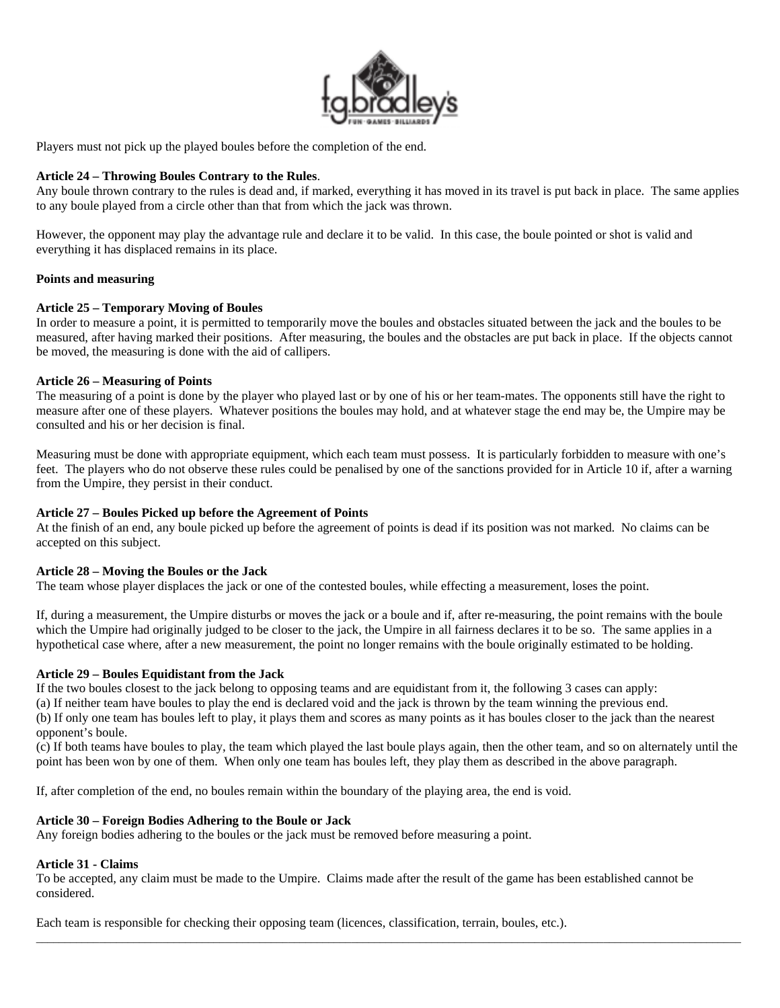

Players must not pick up the played boules before the completion of the end.

## **Article 24 – Throwing Boules Contrary to the Rules**.

Any boule thrown contrary to the rules is dead and, if marked, everything it has moved in its travel is put back in place. The same applies to any boule played from a circle other than that from which the jack was thrown.

However, the opponent may play the advantage rule and declare it to be valid. In this case, the boule pointed or shot is valid and everything it has displaced remains in its place.

#### **Points and measuring**

## **Article 25 – Temporary Moving of Boules**

In order to measure a point, it is permitted to temporarily move the boules and obstacles situated between the jack and the boules to be measured, after having marked their positions. After measuring, the boules and the obstacles are put back in place. If the objects cannot be moved, the measuring is done with the aid of callipers.

## **Article 26 – Measuring of Points**

The measuring of a point is done by the player who played last or by one of his or her team-mates. The opponents still have the right to measure after one of these players. Whatever positions the boules may hold, and at whatever stage the end may be, the Umpire may be consulted and his or her decision is final.

Measuring must be done with appropriate equipment, which each team must possess. It is particularly forbidden to measure with one's feet. The players who do not observe these rules could be penalised by one of the sanctions provided for in Article 10 if, after a warning from the Umpire, they persist in their conduct.

## **Article 27 – Boules Picked up before the Agreement of Points**

At the finish of an end, any boule picked up before the agreement of points is dead if its position was not marked. No claims can be accepted on this subject.

## **Article 28 – Moving the Boules or the Jack**

The team whose player displaces the jack or one of the contested boules, while effecting a measurement, loses the point.

If, during a measurement, the Umpire disturbs or moves the jack or a boule and if, after re-measuring, the point remains with the boule which the Umpire had originally judged to be closer to the jack, the Umpire in all fairness declares it to be so. The same applies in a hypothetical case where, after a new measurement, the point no longer remains with the boule originally estimated to be holding.

## **Article 29 – Boules Equidistant from the Jack**

If the two boules closest to the jack belong to opposing teams and are equidistant from it, the following 3 cases can apply:

(a) If neither team have boules to play the end is declared void and the jack is thrown by the team winning the previous end.

(b) If only one team has boules left to play, it plays them and scores as many points as it has boules closer to the jack than the nearest opponent's boule.

(c) If both teams have boules to play, the team which played the last boule plays again, then the other team, and so on alternately until the point has been won by one of them. When only one team has boules left, they play them as described in the above paragraph.

If, after completion of the end, no boules remain within the boundary of the playing area, the end is void.

## **Article 30 – Foreign Bodies Adhering to the Boule or Jack**

Any foreign bodies adhering to the boules or the jack must be removed before measuring a point.

## **Article 31 - Claims**

To be accepted, any claim must be made to the Umpire. Claims made after the result of the game has been established cannot be considered.

\_\_\_\_\_\_\_\_\_\_\_\_\_\_\_\_\_\_\_\_\_\_\_\_\_\_\_\_\_\_\_\_\_\_\_\_\_\_\_\_\_\_\_\_\_\_\_\_\_\_\_\_\_\_\_\_\_\_\_\_\_\_\_\_\_\_\_\_\_\_\_\_\_\_\_\_\_\_\_\_\_\_\_\_\_\_\_\_\_\_\_\_\_\_\_\_\_\_\_\_\_\_\_\_\_\_\_\_\_\_\_\_\_\_\_\_\_\_\_\_\_\_\_

Each team is responsible for checking their opposing team (licences, classification, terrain, boules, etc.).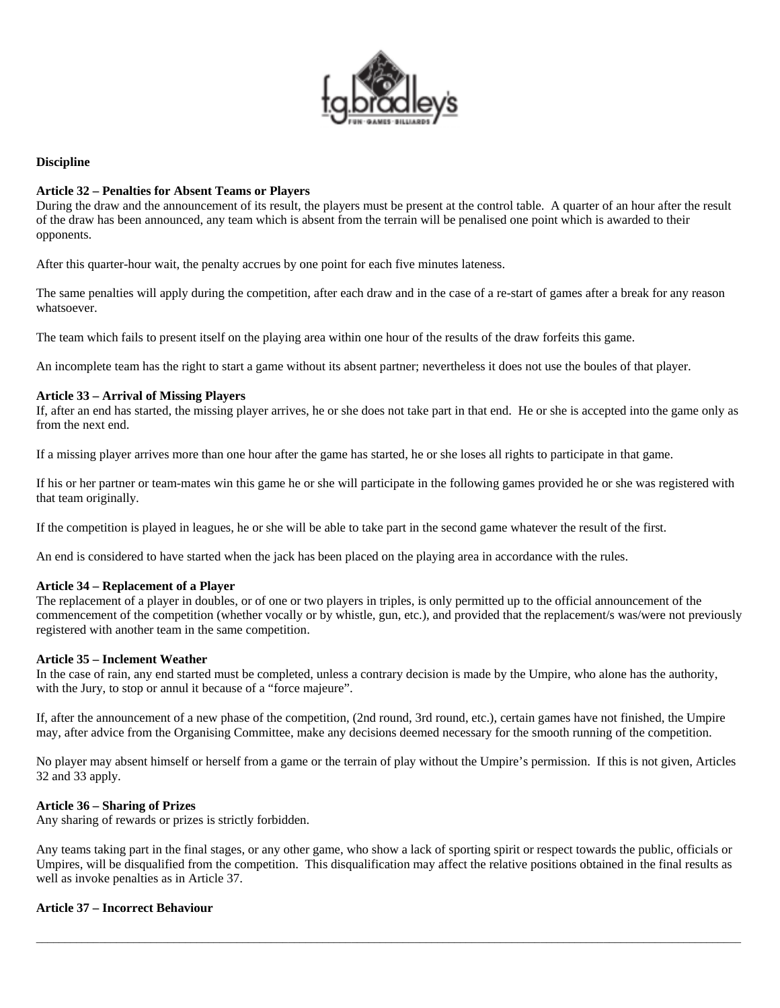

#### **Discipline**

### **Article 32 – Penalties for Absent Teams or Players**

During the draw and the announcement of its result, the players must be present at the control table. A quarter of an hour after the result of the draw has been announced, any team which is absent from the terrain will be penalised one point which is awarded to their opponents.

After this quarter-hour wait, the penalty accrues by one point for each five minutes lateness.

The same penalties will apply during the competition, after each draw and in the case of a re-start of games after a break for any reason whatsoever.

The team which fails to present itself on the playing area within one hour of the results of the draw forfeits this game.

An incomplete team has the right to start a game without its absent partner; nevertheless it does not use the boules of that player.

#### **Article 33 – Arrival of Missing Players**

If, after an end has started, the missing player arrives, he or she does not take part in that end. He or she is accepted into the game only as from the next end.

If a missing player arrives more than one hour after the game has started, he or she loses all rights to participate in that game.

If his or her partner or team-mates win this game he or she will participate in the following games provided he or she was registered with that team originally.

If the competition is played in leagues, he or she will be able to take part in the second game whatever the result of the first.

An end is considered to have started when the jack has been placed on the playing area in accordance with the rules.

#### **Article 34 – Replacement of a Player**

The replacement of a player in doubles, or of one or two players in triples, is only permitted up to the official announcement of the commencement of the competition (whether vocally or by whistle, gun, etc.), and provided that the replacement/s was/were not previously registered with another team in the same competition.

#### **Article 35 – Inclement Weather**

In the case of rain, any end started must be completed, unless a contrary decision is made by the Umpire, who alone has the authority, with the Jury, to stop or annul it because of a "force majeure".

If, after the announcement of a new phase of the competition, (2nd round, 3rd round, etc.), certain games have not finished, the Umpire may, after advice from the Organising Committee, make any decisions deemed necessary for the smooth running of the competition.

No player may absent himself or herself from a game or the terrain of play without the Umpire's permission. If this is not given, Articles 32 and 33 apply.

#### **Article 36 – Sharing of Prizes**

Any sharing of rewards or prizes is strictly forbidden.

Any teams taking part in the final stages, or any other game, who show a lack of sporting spirit or respect towards the public, officials or Umpires, will be disqualified from the competition. This disqualification may affect the relative positions obtained in the final results as well as invoke penalties as in Article 37.

\_\_\_\_\_\_\_\_\_\_\_\_\_\_\_\_\_\_\_\_\_\_\_\_\_\_\_\_\_\_\_\_\_\_\_\_\_\_\_\_\_\_\_\_\_\_\_\_\_\_\_\_\_\_\_\_\_\_\_\_\_\_\_\_\_\_\_\_\_\_\_\_\_\_\_\_\_\_\_\_\_\_\_\_\_\_\_\_\_\_\_\_\_\_\_\_\_\_\_\_\_\_\_\_\_\_\_\_\_\_\_\_\_\_\_\_\_\_\_\_\_\_\_

#### **Article 37 – Incorrect Behaviour**